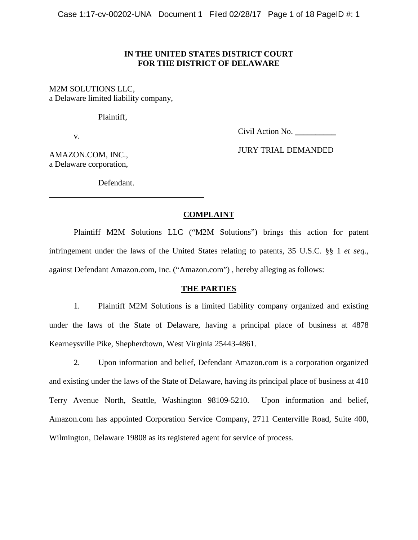## **IN THE UNITED STATES DISTRICT COURT FOR THE DISTRICT OF DELAWARE**

M2M SOLUTIONS LLC, a Delaware limited liability company,

Plaintiff,

v.

Civil Action No. \_\_\_\_\_\_\_\_\_\_

AMAZON.COM, INC., a Delaware corporation, JURY TRIAL DEMANDED

Defendant.

# **COMPLAINT**

Plaintiff M2M Solutions LLC ("M2M Solutions") brings this action for patent infringement under the laws of the United States relating to patents, 35 U.S.C. §§ 1 *et seq*., against Defendant Amazon.com, Inc. ("Amazon.com") , hereby alleging as follows:

# **THE PARTIES**

1. Plaintiff M2M Solutions is a limited liability company organized and existing under the laws of the State of Delaware, having a principal place of business at 4878 Kearneysville Pike, Shepherdtown, West Virginia 25443-4861.

2. Upon information and belief, Defendant Amazon.com is a corporation organized and existing under the laws of the State of Delaware, having its principal place of business at 410 Terry Avenue North, Seattle, Washington 98109-5210. Upon information and belief, Amazon.com has appointed Corporation Service Company, 2711 Centerville Road, Suite 400, Wilmington, Delaware 19808 as its registered agent for service of process.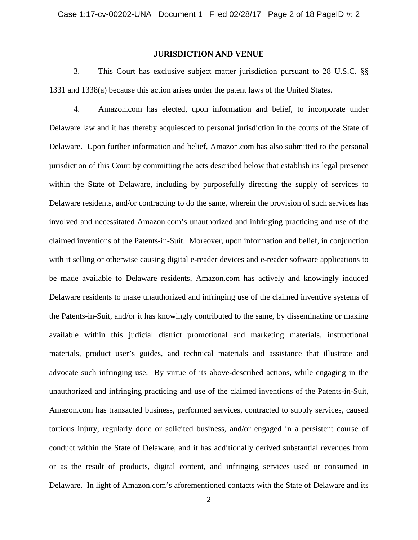## **JURISDICTION AND VENUE**

3. This Court has exclusive subject matter jurisdiction pursuant to 28 U.S.C. §§ 1331 and 1338(a) because this action arises under the patent laws of the United States.

4. Amazon.com has elected, upon information and belief, to incorporate under Delaware law and it has thereby acquiesced to personal jurisdiction in the courts of the State of Delaware. Upon further information and belief, Amazon.com has also submitted to the personal jurisdiction of this Court by committing the acts described below that establish its legal presence within the State of Delaware, including by purposefully directing the supply of services to Delaware residents, and/or contracting to do the same, wherein the provision of such services has involved and necessitated Amazon.com's unauthorized and infringing practicing and use of the claimed inventions of the Patents-in-Suit. Moreover, upon information and belief, in conjunction with it selling or otherwise causing digital e-reader devices and e-reader software applications to be made available to Delaware residents, Amazon.com has actively and knowingly induced Delaware residents to make unauthorized and infringing use of the claimed inventive systems of the Patents-in-Suit, and/or it has knowingly contributed to the same, by disseminating or making available within this judicial district promotional and marketing materials, instructional materials, product user's guides, and technical materials and assistance that illustrate and advocate such infringing use. By virtue of its above-described actions, while engaging in the unauthorized and infringing practicing and use of the claimed inventions of the Patents-in-Suit, Amazon.com has transacted business, performed services, contracted to supply services, caused tortious injury, regularly done or solicited business, and/or engaged in a persistent course of conduct within the State of Delaware, and it has additionally derived substantial revenues from or as the result of products, digital content, and infringing services used or consumed in Delaware. In light of Amazon.com's aforementioned contacts with the State of Delaware and its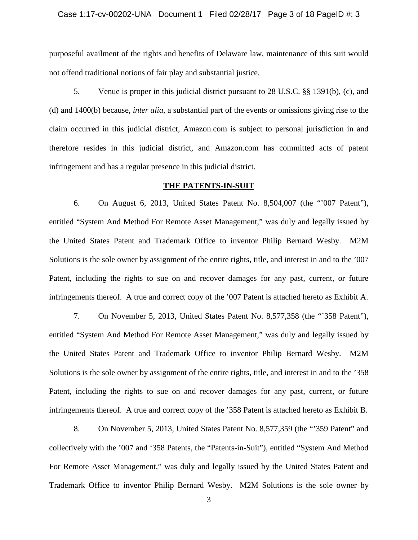#### Case 1:17-cv-00202-UNA Document 1 Filed 02/28/17 Page 3 of 18 PageID #: 3

purposeful availment of the rights and benefits of Delaware law, maintenance of this suit would not offend traditional notions of fair play and substantial justice.

5. Venue is proper in this judicial district pursuant to 28 U.S.C. §§ 1391(b), (c), and (d) and 1400(b) because, *inter alia*, a substantial part of the events or omissions giving rise to the claim occurred in this judicial district, Amazon.com is subject to personal jurisdiction in and therefore resides in this judicial district, and Amazon.com has committed acts of patent infringement and has a regular presence in this judicial district.

#### **THE PATENTS-IN-SUIT**

6. On August 6, 2013, United States Patent No. 8,504,007 (the "'007 Patent"), entitled "System And Method For Remote Asset Management," was duly and legally issued by the United States Patent and Trademark Office to inventor Philip Bernard Wesby. M2M Solutions is the sole owner by assignment of the entire rights, title, and interest in and to the '007 Patent, including the rights to sue on and recover damages for any past, current, or future infringements thereof. A true and correct copy of the '007 Patent is attached hereto as Exhibit A.

7. On November 5, 2013, United States Patent No. 8,577,358 (the "'358 Patent"), entitled "System And Method For Remote Asset Management," was duly and legally issued by the United States Patent and Trademark Office to inventor Philip Bernard Wesby. M2M Solutions is the sole owner by assignment of the entire rights, title, and interest in and to the '358 Patent, including the rights to sue on and recover damages for any past, current, or future infringements thereof. A true and correct copy of the '358 Patent is attached hereto as Exhibit B.

8. On November 5, 2013, United States Patent No. 8,577,359 (the "'359 Patent" and collectively with the '007 and '358 Patents, the "Patents-in-Suit"), entitled "System And Method For Remote Asset Management," was duly and legally issued by the United States Patent and Trademark Office to inventor Philip Bernard Wesby. M2M Solutions is the sole owner by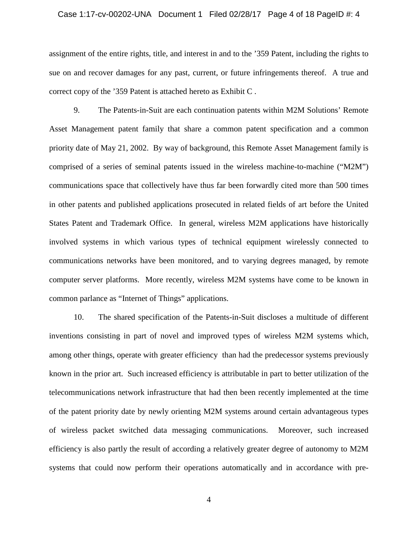#### Case 1:17-cv-00202-UNA Document 1 Filed 02/28/17 Page 4 of 18 PageID #: 4

assignment of the entire rights, title, and interest in and to the '359 Patent, including the rights to sue on and recover damages for any past, current, or future infringements thereof. A true and correct copy of the '359 Patent is attached hereto as Exhibit C .

9. The Patents-in-Suit are each continuation patents within M2M Solutions' Remote Asset Management patent family that share a common patent specification and a common priority date of May 21, 2002. By way of background, this Remote Asset Management family is comprised of a series of seminal patents issued in the wireless machine-to-machine ("M2M") communications space that collectively have thus far been forwardly cited more than 500 times in other patents and published applications prosecuted in related fields of art before the United States Patent and Trademark Office. In general, wireless M2M applications have historically involved systems in which various types of technical equipment wirelessly connected to communications networks have been monitored, and to varying degrees managed, by remote computer server platforms. More recently, wireless M2M systems have come to be known in common parlance as "Internet of Things" applications.

10. The shared specification of the Patents-in-Suit discloses a multitude of different inventions consisting in part of novel and improved types of wireless M2M systems which, among other things, operate with greater efficiency than had the predecessor systems previously known in the prior art. Such increased efficiency is attributable in part to better utilization of the telecommunications network infrastructure that had then been recently implemented at the time of the patent priority date by newly orienting M2M systems around certain advantageous types of wireless packet switched data messaging communications. Moreover, such increased efficiency is also partly the result of according a relatively greater degree of autonomy to M2M systems that could now perform their operations automatically and in accordance with pre-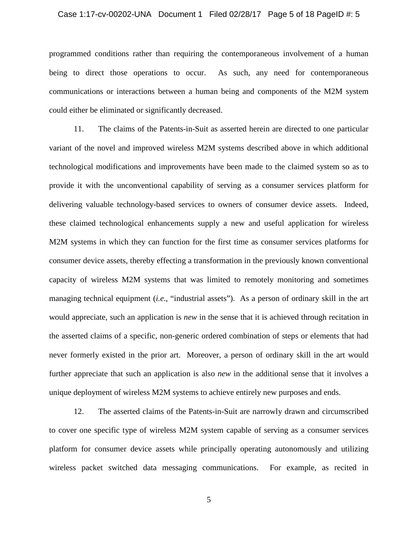#### Case 1:17-cv-00202-UNA Document 1 Filed 02/28/17 Page 5 of 18 PageID #: 5

programmed conditions rather than requiring the contemporaneous involvement of a human being to direct those operations to occur. As such, any need for contemporaneous communications or interactions between a human being and components of the M2M system could either be eliminated or significantly decreased.

11. The claims of the Patents-in-Suit as asserted herein are directed to one particular variant of the novel and improved wireless M2M systems described above in which additional technological modifications and improvements have been made to the claimed system so as to provide it with the unconventional capability of serving as a consumer services platform for delivering valuable technology-based services to owners of consumer device assets. Indeed, these claimed technological enhancements supply a new and useful application for wireless M2M systems in which they can function for the first time as consumer services platforms for consumer device assets, thereby effecting a transformation in the previously known conventional capacity of wireless M2M systems that was limited to remotely monitoring and sometimes managing technical equipment (*i.e*., "industrial assets"). As a person of ordinary skill in the art would appreciate, such an application is *new* in the sense that it is achieved through recitation in the asserted claims of a specific, non-generic ordered combination of steps or elements that had never formerly existed in the prior art. Moreover, a person of ordinary skill in the art would further appreciate that such an application is also *new* in the additional sense that it involves a unique deployment of wireless M2M systems to achieve entirely new purposes and ends.

12. The asserted claims of the Patents-in-Suit are narrowly drawn and circumscribed to cover one specific type of wireless M2M system capable of serving as a consumer services platform for consumer device assets while principally operating autonomously and utilizing wireless packet switched data messaging communications. For example, as recited in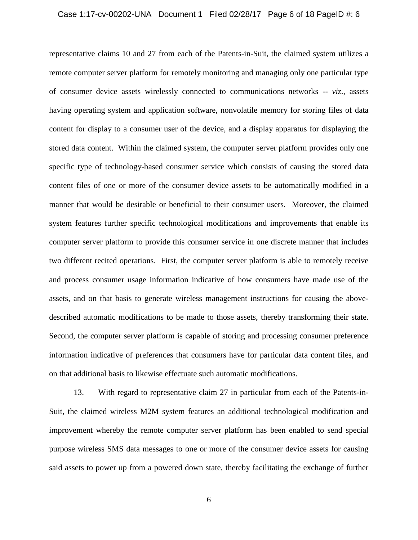#### Case 1:17-cv-00202-UNA Document 1 Filed 02/28/17 Page 6 of 18 PageID #: 6

representative claims 10 and 27 from each of the Patents-in-Suit, the claimed system utilizes a remote computer server platform for remotely monitoring and managing only one particular type of consumer device assets wirelessly connected to communications networks -- *viz*., assets having operating system and application software, nonvolatile memory for storing files of data content for display to a consumer user of the device, and a display apparatus for displaying the stored data content. Within the claimed system, the computer server platform provides only one specific type of technology-based consumer service which consists of causing the stored data content files of one or more of the consumer device assets to be automatically modified in a manner that would be desirable or beneficial to their consumer users. Moreover, the claimed system features further specific technological modifications and improvements that enable its computer server platform to provide this consumer service in one discrete manner that includes two different recited operations. First, the computer server platform is able to remotely receive and process consumer usage information indicative of how consumers have made use of the assets, and on that basis to generate wireless management instructions for causing the abovedescribed automatic modifications to be made to those assets, thereby transforming their state. Second, the computer server platform is capable of storing and processing consumer preference information indicative of preferences that consumers have for particular data content files, and on that additional basis to likewise effectuate such automatic modifications.

13. With regard to representative claim 27 in particular from each of the Patents-in-Suit, the claimed wireless M2M system features an additional technological modification and improvement whereby the remote computer server platform has been enabled to send special purpose wireless SMS data messages to one or more of the consumer device assets for causing said assets to power up from a powered down state, thereby facilitating the exchange of further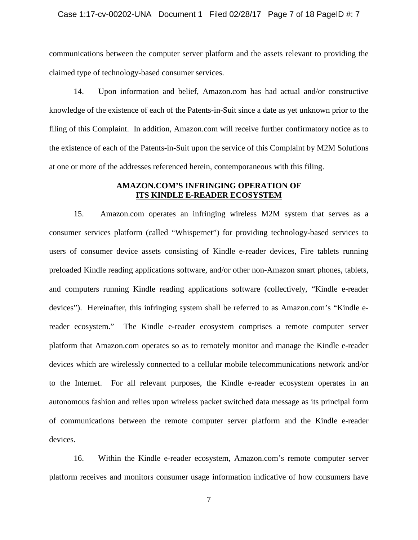#### Case 1:17-cv-00202-UNA Document 1 Filed 02/28/17 Page 7 of 18 PageID #: 7

communications between the computer server platform and the assets relevant to providing the claimed type of technology-based consumer services.

14. Upon information and belief, Amazon.com has had actual and/or constructive knowledge of the existence of each of the Patents-in-Suit since a date as yet unknown prior to the filing of this Complaint. In addition, Amazon.com will receive further confirmatory notice as to the existence of each of the Patents-in-Suit upon the service of this Complaint by M2M Solutions at one or more of the addresses referenced herein, contemporaneous with this filing.

## **AMAZON.COM'S INFRINGING OPERATION OF ITS KINDLE E-READER ECOSYSTEM**

15. Amazon.com operates an infringing wireless M2M system that serves as a consumer services platform (called "Whispernet") for providing technology-based services to users of consumer device assets consisting of Kindle e-reader devices, Fire tablets running preloaded Kindle reading applications software, and/or other non-Amazon smart phones, tablets, and computers running Kindle reading applications software (collectively, "Kindle e-reader devices"). Hereinafter, this infringing system shall be referred to as Amazon.com's "Kindle ereader ecosystem." The Kindle e-reader ecosystem comprises a remote computer server platform that Amazon.com operates so as to remotely monitor and manage the Kindle e-reader devices which are wirelessly connected to a cellular mobile telecommunications network and/or to the Internet. For all relevant purposes, the Kindle e-reader ecosystem operates in an autonomous fashion and relies upon wireless packet switched data message as its principal form of communications between the remote computer server platform and the Kindle e-reader devices.

16. Within the Kindle e-reader ecosystem, Amazon.com's remote computer server platform receives and monitors consumer usage information indicative of how consumers have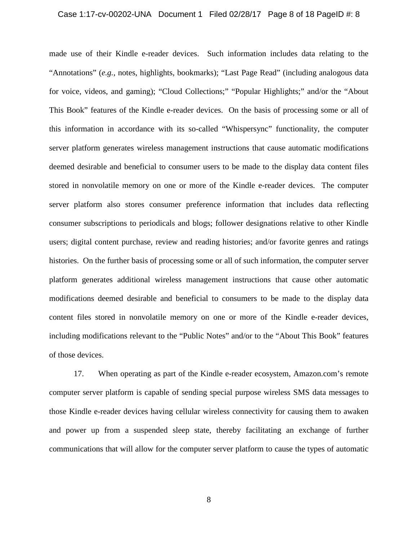#### Case 1:17-cv-00202-UNA Document 1 Filed 02/28/17 Page 8 of 18 PageID #: 8

made use of their Kindle e-reader devices. Such information includes data relating to the "Annotations" (*e.g.,* notes, highlights, bookmarks); "Last Page Read" (including analogous data for voice, videos, and gaming); "Cloud Collections;" "Popular Highlights;" and/or the "About This Book" features of the Kindle e-reader devices. On the basis of processing some or all of this information in accordance with its so-called "Whispersync" functionality, the computer server platform generates wireless management instructions that cause automatic modifications deemed desirable and beneficial to consumer users to be made to the display data content files stored in nonvolatile memory on one or more of the Kindle e-reader devices. The computer server platform also stores consumer preference information that includes data reflecting consumer subscriptions to periodicals and blogs; follower designations relative to other Kindle users; digital content purchase, review and reading histories; and/or favorite genres and ratings histories. On the further basis of processing some or all of such information, the computer server platform generates additional wireless management instructions that cause other automatic modifications deemed desirable and beneficial to consumers to be made to the display data content files stored in nonvolatile memory on one or more of the Kindle e-reader devices, including modifications relevant to the "Public Notes" and/or to the "About This Book" features of those devices.

17. When operating as part of the Kindle e-reader ecosystem, Amazon.com's remote computer server platform is capable of sending special purpose wireless SMS data messages to those Kindle e-reader devices having cellular wireless connectivity for causing them to awaken and power up from a suspended sleep state, thereby facilitating an exchange of further communications that will allow for the computer server platform to cause the types of automatic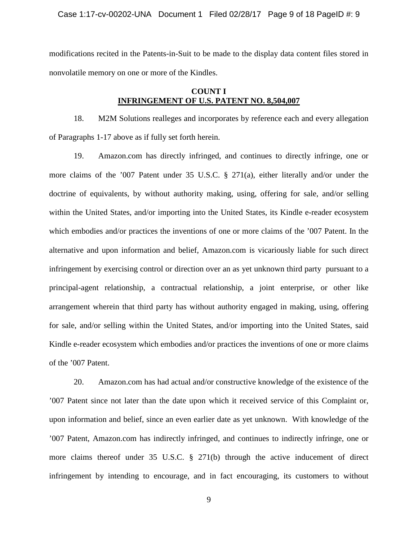Case 1:17-cv-00202-UNA Document 1 Filed 02/28/17 Page 9 of 18 PageID #: 9

modifications recited in the Patents-in-Suit to be made to the display data content files stored in nonvolatile memory on one or more of the Kindles.

## **COUNT I INFRINGEMENT OF U.S. PATENT NO. 8,504,007**

18. M2M Solutions realleges and incorporates by reference each and every allegation of Paragraphs 1-17 above as if fully set forth herein.

19. Amazon.com has directly infringed, and continues to directly infringe, one or more claims of the '007 Patent under 35 U.S.C. § 271(a), either literally and/or under the doctrine of equivalents, by without authority making, using, offering for sale, and/or selling within the United States, and/or importing into the United States, its Kindle e-reader ecosystem which embodies and/or practices the inventions of one or more claims of the '007 Patent. In the alternative and upon information and belief, Amazon.com is vicariously liable for such direct infringement by exercising control or direction over an as yet unknown third party pursuant to a principal-agent relationship, a contractual relationship, a joint enterprise, or other like arrangement wherein that third party has without authority engaged in making, using, offering for sale, and/or selling within the United States, and/or importing into the United States, said Kindle e-reader ecosystem which embodies and/or practices the inventions of one or more claims of the '007 Patent.

20. Amazon.com has had actual and/or constructive knowledge of the existence of the '007 Patent since not later than the date upon which it received service of this Complaint or, upon information and belief, since an even earlier date as yet unknown. With knowledge of the '007 Patent, Amazon.com has indirectly infringed, and continues to indirectly infringe, one or more claims thereof under 35 U.S.C. § 271(b) through the active inducement of direct infringement by intending to encourage, and in fact encouraging, its customers to without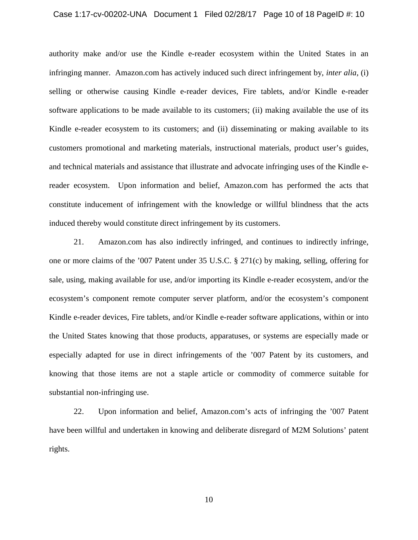#### Case 1:17-cv-00202-UNA Document 1 Filed 02/28/17 Page 10 of 18 PageID #: 10

authority make and/or use the Kindle e-reader ecosystem within the United States in an infringing manner. Amazon.com has actively induced such direct infringement by, *inter alia*, (i) selling or otherwise causing Kindle e-reader devices, Fire tablets, and/or Kindle e-reader software applications to be made available to its customers; (ii) making available the use of its Kindle e-reader ecosystem to its customers; and (ii) disseminating or making available to its customers promotional and marketing materials, instructional materials, product user's guides, and technical materials and assistance that illustrate and advocate infringing uses of the Kindle ereader ecosystem. Upon information and belief, Amazon.com has performed the acts that constitute inducement of infringement with the knowledge or willful blindness that the acts induced thereby would constitute direct infringement by its customers.

21. Amazon.com has also indirectly infringed, and continues to indirectly infringe, one or more claims of the '007 Patent under 35 U.S.C. § 271(c) by making, selling, offering for sale, using, making available for use, and/or importing its Kindle e-reader ecosystem, and/or the ecosystem's component remote computer server platform, and/or the ecosystem's component Kindle e-reader devices, Fire tablets, and/or Kindle e-reader software applications, within or into the United States knowing that those products, apparatuses, or systems are especially made or especially adapted for use in direct infringements of the '007 Patent by its customers, and knowing that those items are not a staple article or commodity of commerce suitable for substantial non-infringing use.

22. Upon information and belief, Amazon.com's acts of infringing the '007 Patent have been willful and undertaken in knowing and deliberate disregard of M2M Solutions' patent rights.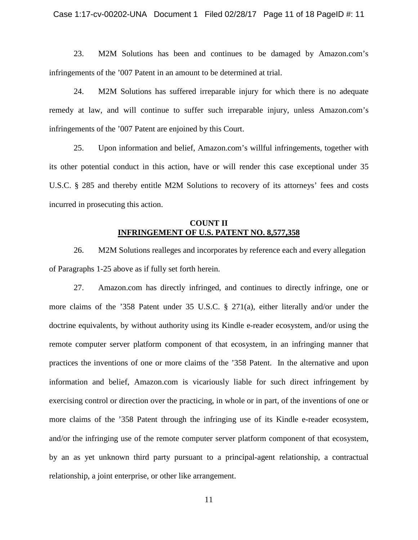23. M2M Solutions has been and continues to be damaged by Amazon.com's infringements of the '007 Patent in an amount to be determined at trial.

24. M2M Solutions has suffered irreparable injury for which there is no adequate remedy at law, and will continue to suffer such irreparable injury, unless Amazon.com's infringements of the '007 Patent are enjoined by this Court.

25. Upon information and belief, Amazon.com's willful infringements, together with its other potential conduct in this action, have or will render this case exceptional under 35 U.S.C. § 285 and thereby entitle M2M Solutions to recovery of its attorneys' fees and costs incurred in prosecuting this action.

## **COUNT II INFRINGEMENT OF U.S. PATENT NO. 8,577,358**

26. M2M Solutions realleges and incorporates by reference each and every allegation of Paragraphs 1-25 above as if fully set forth herein.

27. Amazon.com has directly infringed, and continues to directly infringe, one or more claims of the '358 Patent under 35 U.S.C. § 271(a), either literally and/or under the doctrine equivalents, by without authority using its Kindle e-reader ecosystem, and/or using the remote computer server platform component of that ecosystem, in an infringing manner that practices the inventions of one or more claims of the '358 Patent. In the alternative and upon information and belief, Amazon.com is vicariously liable for such direct infringement by exercising control or direction over the practicing, in whole or in part, of the inventions of one or more claims of the '358 Patent through the infringing use of its Kindle e-reader ecosystem, and/or the infringing use of the remote computer server platform component of that ecosystem, by an as yet unknown third party pursuant to a principal-agent relationship, a contractual relationship, a joint enterprise, or other like arrangement.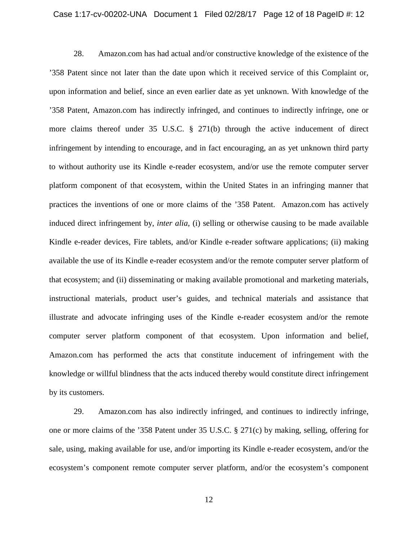#### Case 1:17-cv-00202-UNA Document 1 Filed 02/28/17 Page 12 of 18 PageID #: 12

28. Amazon.com has had actual and/or constructive knowledge of the existence of the '358 Patent since not later than the date upon which it received service of this Complaint or, upon information and belief, since an even earlier date as yet unknown. With knowledge of the '358 Patent, Amazon.com has indirectly infringed, and continues to indirectly infringe, one or more claims thereof under 35 U.S.C. § 271(b) through the active inducement of direct infringement by intending to encourage, and in fact encouraging, an as yet unknown third party to without authority use its Kindle e-reader ecosystem, and/or use the remote computer server platform component of that ecosystem, within the United States in an infringing manner that practices the inventions of one or more claims of the '358 Patent. Amazon.com has actively induced direct infringement by, *inter alia*, (i) selling or otherwise causing to be made available Kindle e-reader devices, Fire tablets, and/or Kindle e-reader software applications; (ii) making available the use of its Kindle e-reader ecosystem and/or the remote computer server platform of that ecosystem; and (ii) disseminating or making available promotional and marketing materials, instructional materials, product user's guides, and technical materials and assistance that illustrate and advocate infringing uses of the Kindle e-reader ecosystem and/or the remote computer server platform component of that ecosystem. Upon information and belief, Amazon.com has performed the acts that constitute inducement of infringement with the knowledge or willful blindness that the acts induced thereby would constitute direct infringement by its customers.

29. Amazon.com has also indirectly infringed, and continues to indirectly infringe, one or more claims of the '358 Patent under 35 U.S.C. § 271(c) by making, selling, offering for sale, using, making available for use, and/or importing its Kindle e-reader ecosystem, and/or the ecosystem's component remote computer server platform, and/or the ecosystem's component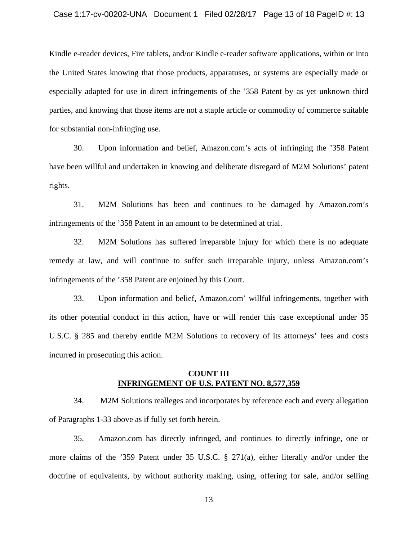#### Case 1:17-cv-00202-UNA Document 1 Filed 02/28/17 Page 13 of 18 PageID #: 13

Kindle e-reader devices, Fire tablets, and/or Kindle e-reader software applications, within or into the United States knowing that those products, apparatuses, or systems are especially made or especially adapted for use in direct infringements of the '358 Patent by as yet unknown third parties, and knowing that those items are not a staple article or commodity of commerce suitable for substantial non-infringing use.

30. Upon information and belief, Amazon.com's acts of infringing the '358 Patent have been willful and undertaken in knowing and deliberate disregard of M2M Solutions' patent rights.

31. M2M Solutions has been and continues to be damaged by Amazon.com's infringements of the '358 Patent in an amount to be determined at trial.

32. M2M Solutions has suffered irreparable injury for which there is no adequate remedy at law, and will continue to suffer such irreparable injury, unless Amazon.com's infringements of the '358 Patent are enjoined by this Court.

33. Upon information and belief, Amazon.com' willful infringements, together with its other potential conduct in this action, have or will render this case exceptional under 35 U.S.C. § 285 and thereby entitle M2M Solutions to recovery of its attorneys' fees and costs incurred in prosecuting this action.

## **COUNT III INFRINGEMENT OF U.S. PATENT NO. 8,577,359**

34. M2M Solutions realleges and incorporates by reference each and every allegation of Paragraphs 1-33 above as if fully set forth herein.

35. Amazon.com has directly infringed, and continues to directly infringe, one or more claims of the '359 Patent under 35 U.S.C. § 271(a), either literally and/or under the doctrine of equivalents, by without authority making, using, offering for sale, and/or selling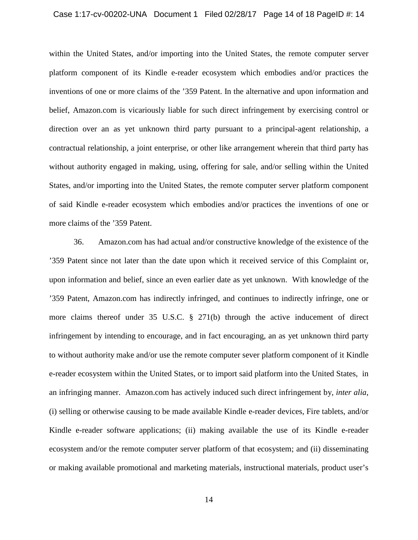#### Case 1:17-cv-00202-UNA Document 1 Filed 02/28/17 Page 14 of 18 PageID #: 14

within the United States, and/or importing into the United States, the remote computer server platform component of its Kindle e-reader ecosystem which embodies and/or practices the inventions of one or more claims of the '359 Patent. In the alternative and upon information and belief, Amazon.com is vicariously liable for such direct infringement by exercising control or direction over an as yet unknown third party pursuant to a principal-agent relationship, a contractual relationship, a joint enterprise, or other like arrangement wherein that third party has without authority engaged in making, using, offering for sale, and/or selling within the United States, and/or importing into the United States, the remote computer server platform component of said Kindle e-reader ecosystem which embodies and/or practices the inventions of one or more claims of the '359 Patent.

36. Amazon.com has had actual and/or constructive knowledge of the existence of the '359 Patent since not later than the date upon which it received service of this Complaint or, upon information and belief, since an even earlier date as yet unknown. With knowledge of the '359 Patent, Amazon.com has indirectly infringed, and continues to indirectly infringe, one or more claims thereof under 35 U.S.C. § 271(b) through the active inducement of direct infringement by intending to encourage, and in fact encouraging, an as yet unknown third party to without authority make and/or use the remote computer sever platform component of it Kindle e-reader ecosystem within the United States, or to import said platform into the United States, in an infringing manner. Amazon.com has actively induced such direct infringement by, *inter alia*, (i) selling or otherwise causing to be made available Kindle e-reader devices, Fire tablets, and/or Kindle e-reader software applications; (ii) making available the use of its Kindle e-reader ecosystem and/or the remote computer server platform of that ecosystem; and (ii) disseminating or making available promotional and marketing materials, instructional materials, product user's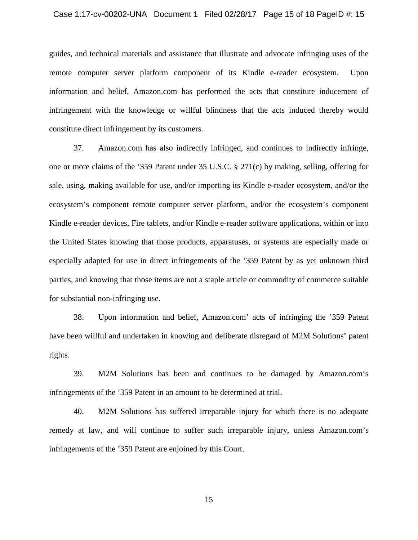#### Case 1:17-cv-00202-UNA Document 1 Filed 02/28/17 Page 15 of 18 PageID #: 15

guides, and technical materials and assistance that illustrate and advocate infringing uses of the remote computer server platform component of its Kindle e-reader ecosystem. Upon information and belief, Amazon.com has performed the acts that constitute inducement of infringement with the knowledge or willful blindness that the acts induced thereby would constitute direct infringement by its customers.

37. Amazon.com has also indirectly infringed, and continues to indirectly infringe, one or more claims of the '359 Patent under 35 U.S.C. § 271(c) by making, selling, offering for sale, using, making available for use, and/or importing its Kindle e-reader ecosystem, and/or the ecosystem's component remote computer server platform, and/or the ecosystem's component Kindle e-reader devices, Fire tablets, and/or Kindle e-reader software applications, within or into the United States knowing that those products, apparatuses, or systems are especially made or especially adapted for use in direct infringements of the '359 Patent by as yet unknown third parties, and knowing that those items are not a staple article or commodity of commerce suitable for substantial non-infringing use.

38. Upon information and belief, Amazon.com' acts of infringing the '359 Patent have been willful and undertaken in knowing and deliberate disregard of M2M Solutions' patent rights.

39. M2M Solutions has been and continues to be damaged by Amazon.com's infringements of the '359 Patent in an amount to be determined at trial.

40. M2M Solutions has suffered irreparable injury for which there is no adequate remedy at law, and will continue to suffer such irreparable injury, unless Amazon.com's infringements of the '359 Patent are enjoined by this Court.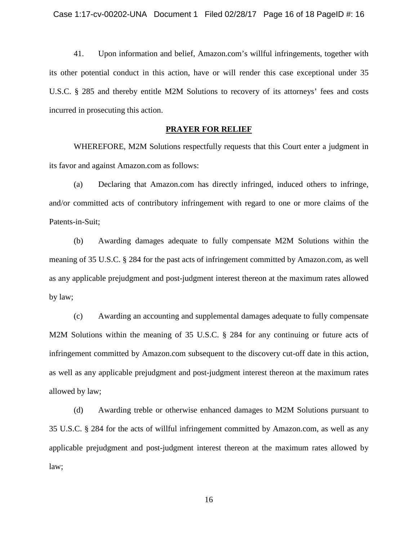41. Upon information and belief, Amazon.com's willful infringements, together with its other potential conduct in this action, have or will render this case exceptional under 35 U.S.C. § 285 and thereby entitle M2M Solutions to recovery of its attorneys' fees and costs incurred in prosecuting this action.

### **PRAYER FOR RELIEF**

WHEREFORE, M2M Solutions respectfully requests that this Court enter a judgment in its favor and against Amazon.com as follows:

(a) Declaring that Amazon.com has directly infringed, induced others to infringe, and/or committed acts of contributory infringement with regard to one or more claims of the Patents-in-Suit;

(b) Awarding damages adequate to fully compensate M2M Solutions within the meaning of 35 U.S.C. § 284 for the past acts of infringement committed by Amazon.com, as well as any applicable prejudgment and post-judgment interest thereon at the maximum rates allowed by law;

(c) Awarding an accounting and supplemental damages adequate to fully compensate M2M Solutions within the meaning of 35 U.S.C. § 284 for any continuing or future acts of infringement committed by Amazon.com subsequent to the discovery cut-off date in this action, as well as any applicable prejudgment and post-judgment interest thereon at the maximum rates allowed by law;

(d) Awarding treble or otherwise enhanced damages to M2M Solutions pursuant to 35 U.S.C. § 284 for the acts of willful infringement committed by Amazon.com, as well as any applicable prejudgment and post-judgment interest thereon at the maximum rates allowed by law;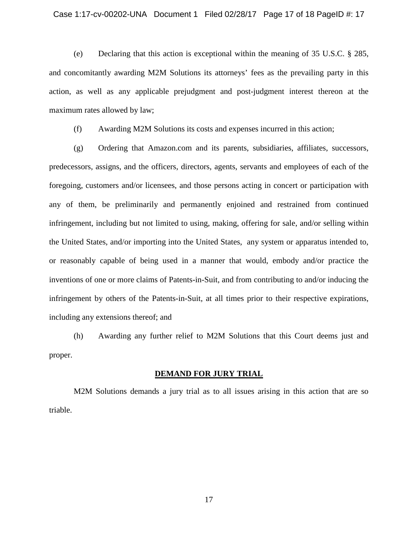(e) Declaring that this action is exceptional within the meaning of 35 U.S.C. § 285, and concomitantly awarding M2M Solutions its attorneys' fees as the prevailing party in this action, as well as any applicable prejudgment and post-judgment interest thereon at the maximum rates allowed by law;

(f) Awarding M2M Solutions its costs and expenses incurred in this action;

(g) Ordering that Amazon.com and its parents, subsidiaries, affiliates, successors, predecessors, assigns, and the officers, directors, agents, servants and employees of each of the foregoing, customers and/or licensees, and those persons acting in concert or participation with any of them, be preliminarily and permanently enjoined and restrained from continued infringement, including but not limited to using, making, offering for sale, and/or selling within the United States, and/or importing into the United States, any system or apparatus intended to, or reasonably capable of being used in a manner that would, embody and/or practice the inventions of one or more claims of Patents-in-Suit, and from contributing to and/or inducing the infringement by others of the Patents-in-Suit, at all times prior to their respective expirations, including any extensions thereof; and

(h) Awarding any further relief to M2M Solutions that this Court deems just and proper.

#### **DEMAND FOR JURY TRIAL**

M2M Solutions demands a jury trial as to all issues arising in this action that are so triable.